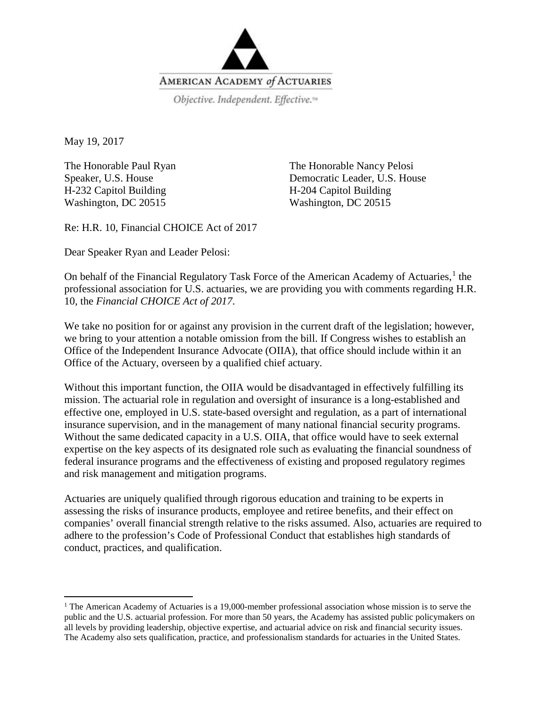

May 19, 2017

l

The Honorable Paul Ryan Speaker, U.S. House H-232 Capitol Building Washington, DC 20515

The Honorable Nancy Pelosi Democratic Leader, U.S. House H-204 Capitol Building Washington, DC 20515

Re: H.R. 10, Financial CHOICE Act of 2017

Dear Speaker Ryan and Leader Pelosi:

On behalf of the Financial Regulatory Task Force of the American Academy of Actuaries,<sup>[1](#page-0-0)</sup> the professional association for U.S. actuaries, we are providing you with comments regarding H.R. 10, the *Financial CHOICE Act of 2017*.

We take no position for or against any provision in the current draft of the legislation; however, we bring to your attention a notable omission from the bill. If Congress wishes to establish an Office of the Independent Insurance Advocate (OIIA), that office should include within it an Office of the Actuary, overseen by a qualified chief actuary.

Without this important function, the OIIA would be disadvantaged in effectively fulfilling its mission. The actuarial role in regulation and oversight of insurance is a long-established and effective one, employed in U.S. state-based oversight and regulation, as a part of international insurance supervision, and in the management of many national financial security programs. Without the same dedicated capacity in a U.S. OIIA, that office would have to seek external expertise on the key aspects of its designated role such as evaluating the financial soundness of federal insurance programs and the effectiveness of existing and proposed regulatory regimes and risk management and mitigation programs.

Actuaries are uniquely qualified through rigorous education and training to be experts in assessing the risks of insurance products, employee and retiree benefits, and their effect on companies' overall financial strength relative to the risks assumed. Also, actuaries are required to adhere to the profession's Code of Professional Conduct that establishes high standards of conduct, practices, and qualification.

<span id="page-0-0"></span><sup>&</sup>lt;sup>1</sup> The American Academy of Actuaries is a 19,000-member professional association whose mission is to serve the public and the U.S. actuarial profession. For more than 50 years, the Academy has assisted public policymakers on all levels by providing leadership, objective expertise, and actuarial advice on risk and financial security issues. The Academy also sets qualification, practice, and professionalism standards for actuaries in the United States.